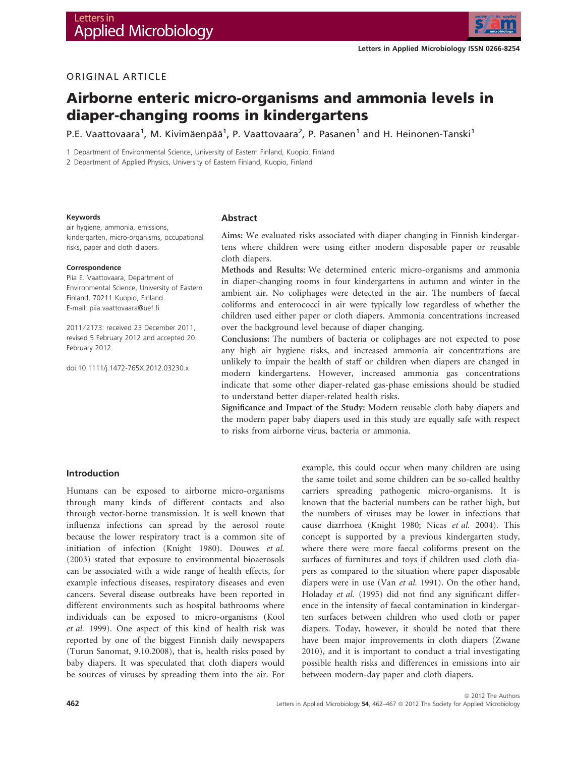

# ORIGINAL ARTICLE

# Airborne enteric micro-organisms and ammonia levels in diaper-changing rooms in kindergartens

P.E. Vaattovaara<sup>1</sup>, M. Kivimäenpää<sup>1</sup>, P. Vaattovaara<sup>2</sup>, P. Pasanen<sup>1</sup> and H. Heinonen-Tanski<sup>1</sup>

1 Department of Environmental Science, University of Eastern Finland, Kuopio, Finland

2 Department of Applied Physics, University of Eastern Finland, Kuopio, Finland

#### Keywords

# Abstract

air hygiene, ammonia, emissions, kindergarten, micro-organisms, occupational risks, paper and cloth diapers.

#### Correspondence

Piia E. Vaattovaara, Department of Environmental Science, University of Eastern Finland, 70211 Kuopio, Finland. E-mail: piia.vaattovaara@uef.fi

2011/2173; received 23 December 2011 revised 5 February 2012 and accepted 20 February 2012

doi:10.1111/j.1472-765X.2012.03230.x

Aims: We evaluated risks associated with diaper changing in Finnish kindergartens where children were using either modern disposable paper or reusable cloth diapers.

Methods and Results: We determined enteric micro-organisms and ammonia in diaper-changing rooms in four kindergartens in autumn and winter in the ambient air. No coliphages were detected in the air. The numbers of faecal coliforms and enterococci in air were typically low regardless of whether the children used either paper or cloth diapers. Ammonia concentrations increased over the background level because of diaper changing.

Conclusions: The numbers of bacteria or coliphages are not expected to pose any high air hygiene risks, and increased ammonia air concentrations are unlikely to impair the health of staff or children when diapers are changed in modern kindergartens. However, increased ammonia gas concentrations indicate that some other diaper-related gas-phase emissions should be studied to understand better diaper-related health risks.

Significance and Impact of the Study: Modern reusable cloth baby diapers and the modern paper baby diapers used in this study are equally safe with respect to risks from airborne virus, bacteria or ammonia.

#### Introduction

Humans can be exposed to airborne micro-organisms through many kinds of different contacts and also through vector-borne transmission. It is well known that influenza infections can spread by the aerosol route because the lower respiratory tract is a common site of initiation of infection (Knight 1980). Douwes et al. (2003) stated that exposure to environmental bioaerosols can be associated with a wide range of health effects, for example infectious diseases, respiratory diseases and even cancers. Several disease outbreaks have been reported in different environments such as hospital bathrooms where individuals can be exposed to micro-organisms (Kool et al. 1999). One aspect of this kind of health risk was reported by one of the biggest Finnish daily newspapers (Turun Sanomat, 9.10.2008), that is, health risks posed by baby diapers. It was speculated that cloth diapers would be sources of viruses by spreading them into the air. For example, this could occur when many children are using the same toilet and some children can be so-called healthy carriers spreading pathogenic micro-organisms. It is known that the bacterial numbers can be rather high, but the numbers of viruses may be lower in infections that cause diarrhoea (Knight 1980; Nicas et al. 2004). This concept is supported by a previous kindergarten study, where there were more faecal coliforms present on the surfaces of furnitures and toys if children used cloth diapers as compared to the situation where paper disposable diapers were in use (Van et al. 1991). On the other hand, Holaday et al. (1995) did not find any significant difference in the intensity of faecal contamination in kindergarten surfaces between children who used cloth or paper diapers. Today, however, it should be noted that there have been major improvements in cloth diapers (Zwane 2010), and it is important to conduct a trial investigating possible health risks and differences in emissions into air between modern-day paper and cloth diapers.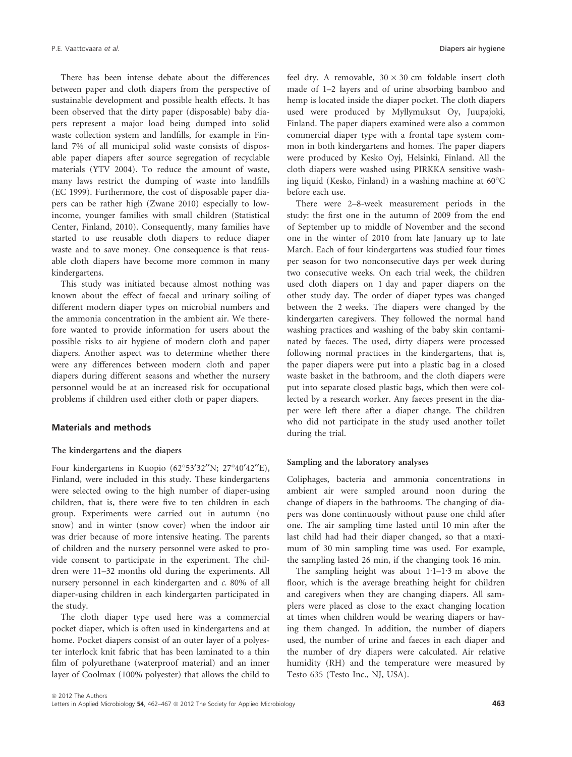There has been intense debate about the differences between paper and cloth diapers from the perspective of sustainable development and possible health effects. It has been observed that the dirty paper (disposable) baby diapers represent a major load being dumped into solid waste collection system and landfills, for example in Finland 7% of all municipal solid waste consists of disposable paper diapers after source segregation of recyclable materials (YTV 2004). To reduce the amount of waste, many laws restrict the dumping of waste into landfills (EC 1999). Furthermore, the cost of disposable paper diapers can be rather high (Zwane 2010) especially to lowincome, younger families with small children (Statistical Center, Finland, 2010). Consequently, many families have started to use reusable cloth diapers to reduce diaper waste and to save money. One consequence is that reusable cloth diapers have become more common in many kindergartens.

This study was initiated because almost nothing was known about the effect of faecal and urinary soiling of different modern diaper types on microbial numbers and the ammonia concentration in the ambient air. We therefore wanted to provide information for users about the possible risks to air hygiene of modern cloth and paper diapers. Another aspect was to determine whether there were any differences between modern cloth and paper diapers during different seasons and whether the nursery personnel would be at an increased risk for occupational problems if children used either cloth or paper diapers.

# Materials and methods

## The kindergartens and the diapers

Four kindergartens in Kuopio (62°53′32″N; 27°40′42″E), Finland, were included in this study. These kindergartens were selected owing to the high number of diaper-using children, that is, there were five to ten children in each group. Experiments were carried out in autumn (no snow) and in winter (snow cover) when the indoor air was drier because of more intensive heating. The parents of children and the nursery personnel were asked to provide consent to participate in the experiment. The children were 11–32 months old during the experiments. All nursery personnel in each kindergarten and c. 80% of all diaper-using children in each kindergarten participated in the study.

The cloth diaper type used here was a commercial pocket diaper, which is often used in kindergartens and at home. Pocket diapers consist of an outer layer of a polyester interlock knit fabric that has been laminated to a thin film of polyurethane (waterproof material) and an inner layer of Coolmax (100% polyester) that allows the child to

feel dry. A removable,  $30 \times 30$  cm foldable insert cloth made of 1–2 layers and of urine absorbing bamboo and hemp is located inside the diaper pocket. The cloth diapers used were produced by Myllymuksut Oy, Juupajoki, Finland. The paper diapers examined were also a common commercial diaper type with a frontal tape system common in both kindergartens and homes. The paper diapers were produced by Kesko Oyj, Helsinki, Finland. All the cloth diapers were washed using PIRKKA sensitive washing liquid (Kesko, Finland) in a washing machine at 60°C before each use.

There were 2–8-week measurement periods in the study: the first one in the autumn of 2009 from the end of September up to middle of November and the second one in the winter of 2010 from late January up to late March. Each of four kindergartens was studied four times per season for two nonconsecutive days per week during two consecutive weeks. On each trial week, the children used cloth diapers on 1 day and paper diapers on the other study day. The order of diaper types was changed between the 2 weeks. The diapers were changed by the kindergarten caregivers. They followed the normal hand washing practices and washing of the baby skin contaminated by faeces. The used, dirty diapers were processed following normal practices in the kindergartens, that is, the paper diapers were put into a plastic bag in a closed waste basket in the bathroom, and the cloth diapers were put into separate closed plastic bags, which then were collected by a research worker. Any faeces present in the diaper were left there after a diaper change. The children who did not participate in the study used another toilet during the trial.

## Sampling and the laboratory analyses

Coliphages, bacteria and ammonia concentrations in ambient air were sampled around noon during the change of diapers in the bathrooms. The changing of diapers was done continuously without pause one child after one. The air sampling time lasted until 10 min after the last child had had their diaper changed, so that a maximum of 30 min sampling time was used. For example, the sampling lasted 26 min, if the changing took 16 min.

The sampling height was about  $1.1-1.3$  m above the floor, which is the average breathing height for children and caregivers when they are changing diapers. All samplers were placed as close to the exact changing location at times when children would be wearing diapers or having them changed. In addition, the number of diapers used, the number of urine and faeces in each diaper and the number of dry diapers were calculated. Air relative humidity (RH) and the temperature were measured by Testo 635 (Testo Inc., NJ, USA).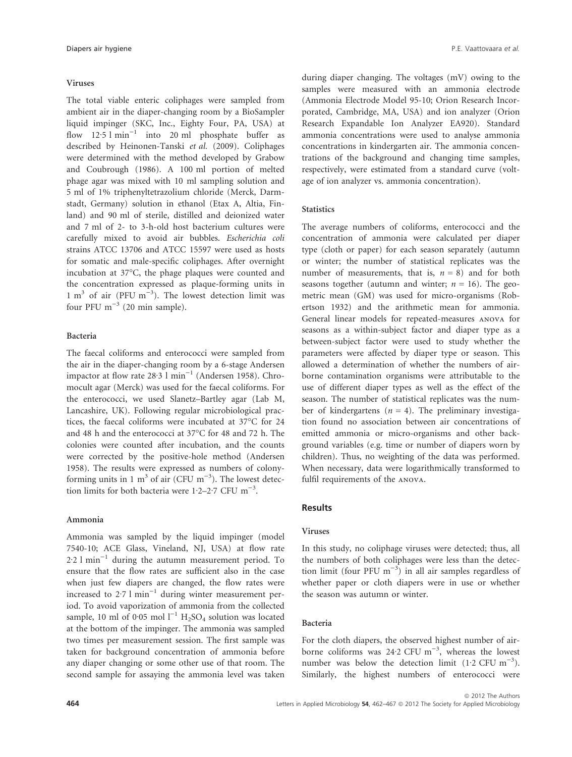## Viruses

The total viable enteric coliphages were sampled from ambient air in the diaper-changing room by a BioSampler liquid impinger (SKC, Inc., Eighty Four, PA, USA) at flow  $12.5$  l min<sup>-1</sup> into 20 ml phosphate buffer as described by Heinonen-Tanski et al. (2009). Coliphages were determined with the method developed by Grabow and Coubrough (1986). A 100 ml portion of melted phage agar was mixed with 10 ml sampling solution and 5 ml of 1% triphenyltetrazolium chloride (Merck, Darmstadt, Germany) solution in ethanol (Etax A, Altia, Finland) and 90 ml of sterile, distilled and deionized water and 7 ml of 2- to 3-h-old host bacterium cultures were carefully mixed to avoid air bubbles. Escherichia coli strains ATCC 13706 and ATCC 15597 were used as hosts for somatic and male-specific coliphages. After overnight incubation at 37-C, the phage plaques were counted and the concentration expressed as plaque-forming units in  $1 \text{ m}^3$  of air (PFU m<sup>-3</sup>). The lowest detection limit was four PFU  $m^{-3}$  (20 min sample).

## Bacteria

The faecal coliforms and enterococci were sampled from the air in the diaper-changing room by a 6-stage Andersen impactor at flow rate  $28.3 \text{ l} \text{ min}^{-1}$  (Andersen 1958). Chromocult agar (Merck) was used for the faecal coliforms. For the enterococci, we used Slanetz–Bartley agar (Lab M, Lancashire, UK). Following regular microbiological practices, the faecal coliforms were incubated at  $37^{\circ}$ C for 24 and 48 h and the enterococci at 37°C for 48 and 72 h. The colonies were counted after incubation, and the counts were corrected by the positive-hole method (Andersen 1958). The results were expressed as numbers of colonyforming units in 1  $m<sup>3</sup>$  of air (CFU  $m<sup>-3</sup>$ ). The lowest detection limits for both bacteria were  $1.2-2.7$  CFU m<sup>-3</sup>.

#### Ammonia

Ammonia was sampled by the liquid impinger (model 7540-10; ACE Glass, Vineland, NJ, USA) at flow rate  $2.2$  l min<sup>-1</sup> during the autumn measurement period. To ensure that the flow rates are sufficient also in the case when just few diapers are changed, the flow rates were increased to  $2.7 \text{ l min}^{-1}$  during winter measurement period. To avoid vaporization of ammonia from the collected sample, 10 ml of 0.05 mol  $l^{-1}$  H<sub>2</sub>SO<sub>4</sub> solution was located at the bottom of the impinger. The ammonia was sampled two times per measurement session. The first sample was taken for background concentration of ammonia before any diaper changing or some other use of that room. The second sample for assaying the ammonia level was taken during diaper changing. The voltages (mV) owing to the samples were measured with an ammonia electrode (Ammonia Electrode Model 95-10; Orion Research Incorporated, Cambridge, MA, USA) and ion analyzer (Orion Research Expandable Ion Analyzer EA920). Standard ammonia concentrations were used to analyse ammonia concentrations in kindergarten air. The ammonia concentrations of the background and changing time samples, respectively, were estimated from a standard curve (voltage of ion analyzer vs. ammonia concentration).

## **Statistics**

The average numbers of coliforms, enterococci and the concentration of ammonia were calculated per diaper type (cloth or paper) for each season separately (autumn or winter; the number of statistical replicates was the number of measurements, that is,  $n = 8$ ) and for both seasons together (autumn and winter;  $n = 16$ ). The geometric mean (GM) was used for micro-organisms (Robertson 1932) and the arithmetic mean for ammonia. General linear models for repeated-measures anova for seasons as a within-subject factor and diaper type as a between-subject factor were used to study whether the parameters were affected by diaper type or season. This allowed a determination of whether the numbers of airborne contamination organisms were attributable to the use of different diaper types as well as the effect of the season. The number of statistical replicates was the number of kindergartens ( $n = 4$ ). The preliminary investigation found no association between air concentrations of emitted ammonia or micro-organisms and other background variables (e.g. time or number of diapers worn by children). Thus, no weighting of the data was performed. When necessary, data were logarithmically transformed to fulfil requirements of the anova.

#### Results

#### Viruses

In this study, no coliphage viruses were detected; thus, all the numbers of both coliphages were less than the detection limit (four PFU  $m^{-3}$ ) in all air samples regardless of whether paper or cloth diapers were in use or whether the season was autumn or winter.

#### Bacteria

For the cloth diapers, the observed highest number of airborne coliforms was 24.2 CFU  $m^{-3}$ , whereas the lowest number was below the detection limit  $(1.2 \text{ CFU m}^{-3})$ . Similarly, the highest numbers of enterococci were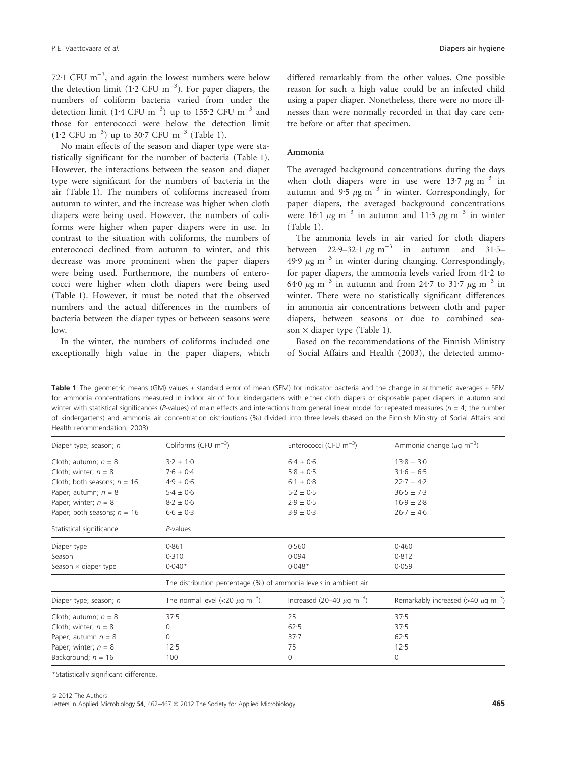72 $\cdot$ 1 CFU m<sup>-3</sup>, and again the lowest numbers were below the detection limit (1.2 CFU  $m^{-3}$ ). For paper diapers, the numbers of coliform bacteria varied from under the detection limit (1.4 CFU  $m^{-3}$ ) up to 155.2 CFU  $m^{-3}$  and those for enterococci were below the detection limit  $(1.2 \text{ CFU m}^{-3})$  up to 30.7 CFU m<sup>-3</sup> (Table 1).

No main effects of the season and diaper type were statistically significant for the number of bacteria (Table 1). However, the interactions between the season and diaper type were significant for the numbers of bacteria in the air (Table 1). The numbers of coliforms increased from autumn to winter, and the increase was higher when cloth diapers were being used. However, the numbers of coliforms were higher when paper diapers were in use. In contrast to the situation with coliforms, the numbers of enterococci declined from autumn to winter, and this decrease was more prominent when the paper diapers were being used. Furthermore, the numbers of enterococci were higher when cloth diapers were being used (Table 1). However, it must be noted that the observed numbers and the actual differences in the numbers of bacteria between the diaper types or between seasons were low.

In the winter, the numbers of coliforms included one exceptionally high value in the paper diapers, which

differed remarkably from the other values. One possible reason for such a high value could be an infected child using a paper diaper. Nonetheless, there were no more illnesses than were normally recorded in that day care centre before or after that specimen.

#### Ammonia

The averaged background concentrations during the days when cloth diapers were in use were  $13.7 \mu g m^{-3}$  in autumn and 9.5  $\mu$ g m<sup>-3</sup> in winter. Correspondingly, for paper diapers, the averaged background concentrations were 16 $1 \mu$ g m<sup>-3</sup> in autumn and 11 $\cdot$ 3  $\mu$ g m<sup>-3</sup> in winter (Table 1).

The ammonia levels in air varied for cloth diapers between 22.9–32.1  $\mu$ g m<sup>-3</sup> in autumn and 31.5– 49.9  $\mu$ g m<sup>-3</sup> in winter during changing. Correspondingly, for paper diapers, the ammonia levels varied from  $41.2$  to 64 $\cdot$ 0  $\mu$ g m<sup>-3</sup> in autumn and from 24 $\cdot$ 7 to 31 $\cdot$ 7  $\mu$ g m<sup>-3</sup> in winter. There were no statistically significant differences in ammonia air concentrations between cloth and paper diapers, between seasons or due to combined season  $\times$  diaper type (Table 1).

Based on the recommendations of the Finnish Ministry of Social Affairs and Health (2003), the detected ammo-

Table 1 The geometric means (GM) values  $\pm$  standard error of mean (SEM) for indicator bacteria and the change in arithmetic averages  $\pm$  SEM for ammonia concentrations measured in indoor air of four kindergartens with either cloth diapers or disposable paper diapers in autumn and winter with statistical significances (P-values) of main effects and interactions from general linear model for repeated measures ( $n = 4$ ; the number of kindergartens) and ammonia air concentration distributions (%) divided into three levels (based on the Finnish Ministry of Social Affairs and Health recommendation, 2003)

| Diaper type; season; n        | Coliforms (CFU $\text{m}^{-3}$ )                                 | Enterococci (CFU $\text{m}^{-3}$ )         | Ammonia change ( $\mu$ g m <sup>-3</sup> )          |
|-------------------------------|------------------------------------------------------------------|--------------------------------------------|-----------------------------------------------------|
| Cloth; autumn; $n = 8$        | $3.2 \pm 1.0$                                                    | $6.4 \pm 0.6$                              | $13.8 \pm 3.0$                                      |
| Cloth; winter; $n = 8$        | $7.6 \pm 0.4$                                                    | $5.8 \pm 0.5$                              | $31.6 \pm 6.5$                                      |
| Cloth; both seasons; $n = 16$ | $4.9 \pm 0.6$                                                    | $6.1 \pm 0.8$                              | $22.7 \pm 4.2$                                      |
| Paper; autumn; $n = 8$        | $5.4 \pm 0.6$                                                    | $5.2 \pm 0.5$                              | $36.5 \pm 7.3$                                      |
| Paper; winter; $n = 8$        | $8.2 \pm 0.6$                                                    | $2.9 \pm 0.5$                              | $16.9 \pm 2.8$                                      |
| Paper; both seasons; $n = 16$ | $6.6 \pm 0.3$                                                    | $3.9 \pm 0.3$                              | $26.7 \pm 4.6$                                      |
| Statistical significance      | P-values                                                         |                                            |                                                     |
| Diaper type                   | 0.861                                                            | 0.560                                      | 0.460                                               |
| Season                        | 0.310                                                            | 0.094                                      | 0.812                                               |
| Season $\times$ diaper type   | $0.040*$                                                         | $0.048*$                                   | 0.059                                               |
|                               | The distribution percentage (%) of ammonia levels in ambient air |                                            |                                                     |
| Diaper type; season; n        | The normal level (<20 $\mu$ g m <sup>-3</sup> )                  | Increased (20-40 $\mu$ g m <sup>-3</sup> ) | Remarkably increased (>40 $\mu$ g m <sup>-3</sup> ) |
| Cloth; autumn; $n = 8$        | 37.5                                                             | 25                                         | 37.5                                                |
| Cloth; winter; $n = 8$        | 0                                                                | $62 - 5$                                   | 37.5                                                |
| Paper; autumn $n = 8$         | 0                                                                | $37 - 7$                                   | $62 - 5$                                            |
| Paper; winter; $n = 8$        | $12 - 5$                                                         | 75                                         | $12 - 5$                                            |
| Background; $n = 16$          | 100                                                              | $\Omega$                                   | $\Omega$                                            |

\*Statistically significant difference.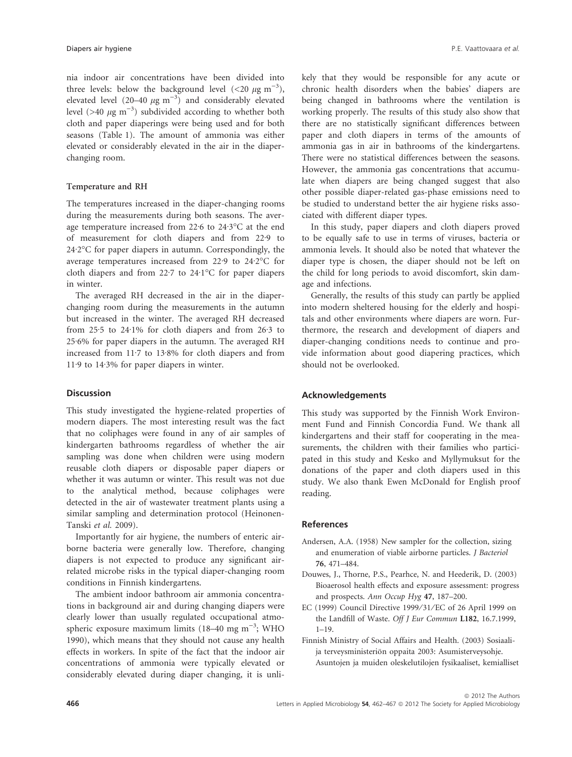nia indoor air concentrations have been divided into three levels: below the background level  $(<$ 20  $\mu$ g m<sup>-3</sup>), elevated level (20–40  $\mu$ g m<sup>-3</sup>) and considerably elevated level ( $>40 \mu g$  m<sup>-3</sup>) subdivided according to whether both cloth and paper diaperings were being used and for both seasons (Table 1). The amount of ammonia was either elevated or considerably elevated in the air in the diaperchanging room.

#### Temperature and RH

The temperatures increased in the diaper-changing rooms during the measurements during both seasons. The average temperature increased from  $22.6$  to  $24.3^{\circ}$ C at the end of measurement for cloth diapers and from 22.9 to 24.2°C for paper diapers in autumn. Correspondingly, the average temperatures increased from 22 $\cdot$ 9 to 24 $\cdot$ 2 $\rm ^{\circ}$ C for cloth diapers and from  $22.7$  to  $24.1^{\circ}$ C for paper diapers in winter.

The averaged RH decreased in the air in the diaperchanging room during the measurements in the autumn but increased in the winter. The averaged RH decreased from  $25.5$  to  $24.1\%$  for cloth diapers and from  $26.3$  to 25.6% for paper diapers in the autumn. The averaged RH increased from  $11·7$  to  $13·8%$  for cloth diapers and from 11.9 to 14.3% for paper diapers in winter.

#### **Discussion**

This study investigated the hygiene-related properties of modern diapers. The most interesting result was the fact that no coliphages were found in any of air samples of kindergarten bathrooms regardless of whether the air sampling was done when children were using modern reusable cloth diapers or disposable paper diapers or whether it was autumn or winter. This result was not due to the analytical method, because coliphages were detected in the air of wastewater treatment plants using a similar sampling and determination protocol (Heinonen-Tanski et al. 2009).

Importantly for air hygiene, the numbers of enteric airborne bacteria were generally low. Therefore, changing diapers is not expected to produce any significant airrelated microbe risks in the typical diaper-changing room conditions in Finnish kindergartens.

The ambient indoor bathroom air ammonia concentrations in background air and during changing diapers were clearly lower than usually regulated occupational atmospheric exposure maximum limits  $(18-40 \text{ mg m}^{-3})$ ; WHO 1990), which means that they should not cause any health effects in workers. In spite of the fact that the indoor air concentrations of ammonia were typically elevated or considerably elevated during diaper changing, it is unlikely that they would be responsible for any acute or chronic health disorders when the babies' diapers are being changed in bathrooms where the ventilation is working properly. The results of this study also show that there are no statistically significant differences between paper and cloth diapers in terms of the amounts of ammonia gas in air in bathrooms of the kindergartens. There were no statistical differences between the seasons. However, the ammonia gas concentrations that accumulate when diapers are being changed suggest that also other possible diaper-related gas-phase emissions need to be studied to understand better the air hygiene risks associated with different diaper types.

In this study, paper diapers and cloth diapers proved to be equally safe to use in terms of viruses, bacteria or ammonia levels. It should also be noted that whatever the diaper type is chosen, the diaper should not be left on the child for long periods to avoid discomfort, skin damage and infections.

Generally, the results of this study can partly be applied into modern sheltered housing for the elderly and hospitals and other environments where diapers are worn. Furthermore, the research and development of diapers and diaper-changing conditions needs to continue and provide information about good diapering practices, which should not be overlooked.

#### Acknowledgements

This study was supported by the Finnish Work Environment Fund and Finnish Concordia Fund. We thank all kindergartens and their staff for cooperating in the measurements, the children with their families who participated in this study and Kesko and Myllymuksut for the donations of the paper and cloth diapers used in this study. We also thank Ewen McDonald for English proof reading.

#### References

- Andersen, A.A. (1958) New sampler for the collection, sizing and enumeration of viable airborne particles. J Bacteriol 76, 471–484.
- Douwes, J., Thorne, P.S., Pearhce, N. and Heederik, D. (2003) Bioaerosol health effects and exposure assessment: progress and prospects. Ann Occup Hyg 47, 187–200.
- EC (1999) Council Directive 1999/31/EC of 26 April 1999 on the Landfill of Waste. Off J Eur Commun L182, 16.7.1999,  $1 - 19$ .
- Finnish Ministry of Social Affairs and Health. (2003) Sosiaalija terveysministeriön oppaita 2003: Asumisterveysohje. Asuntojen ja muiden oleskelutilojen fysikaaliset, kemialliset